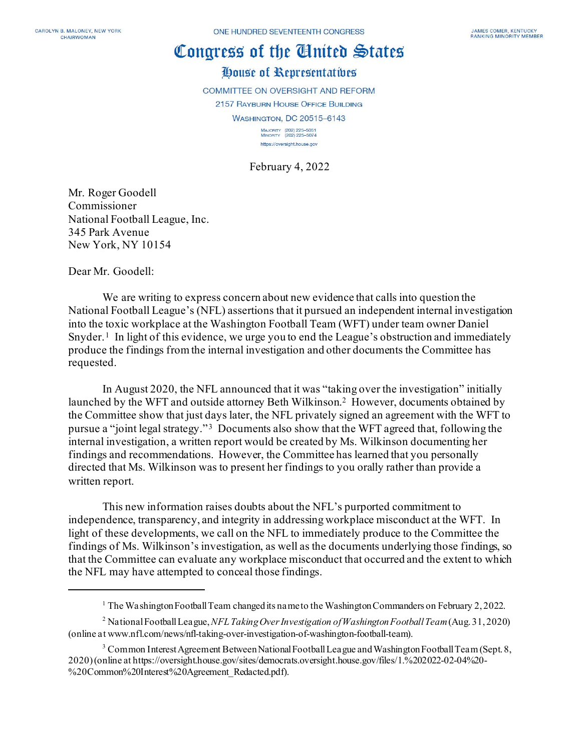# Congress of the Cinited States

# House of Representatives

COMMITTEE ON OVERSIGHT AND REFORM 2157 RAYBURN HOUSE OFFICE BUILDING **WASHINGTON, DC 20515-6143** 

> MAJORITY (202) 225-5051<br>MINORITY (202) 225-5074 https://oversight.house.gov

February 4, 2022

Mr. Roger Goodell Commissioner National Football League, Inc. 345 Park Avenue New York, NY 10154

Dear Mr. Goodell:

We are writing to express concern about new evidence that calls into question the National Football League's (NFL) assertions that it pursued an independent internal investigation into the toxic workplace at the Washington Football Team (WFT) under team owner Daniel Snyder.<sup>[1](#page-0-0)</sup> In light of this evidence, we urge you to end the League's obstruction and immediately produce the findings from the internal investigation and other documents the Committee has requested.

In August 2020, the NFL announced that it was "taking over the investigation" initially launched by the WFT and outside attorney Beth Wilkinson.<sup>2</sup> However, documents obtained by the Committee show that just days later, the NFL privately signed an agreement with the WFT to pursue a "joint legal strategy." [3](#page-0-2) Documents also show that the WFT agreed that, following the internal investigation, a written report would be created by Ms. Wilkinson documenting her findings and recommendations. However, the Committee has learned that you personally directed that Ms. Wilkinson was to present her findings to you orally rather than provide a written report.

This new information raises doubts about the NFL's purported commitment to independence, transparency, and integrity in addressing workplace misconduct at the WFT. In light of these developments, we call on the NFL to immediately produce to the Committee the findings of Ms. Wilkinson's investigation, as well as the documents underlying those findings, so that the Committee can evaluate any workplace misconduct that occurred and the extent to which the NFL may have attempted to conceal those findings.

<sup>&</sup>lt;sup>1</sup> The Washington Football Team changed its name to the Washington Commanders on February 2, 2022.

<span id="page-0-1"></span><span id="page-0-0"></span><sup>2</sup> National Football League, *NFL Taking Over Investigation of Washington Football Team*(Aug. 31, 2020) (online at www.nfl.com/news/nfl-taking-over-investigation-of-washington-football-team).

<span id="page-0-2"></span><sup>&</sup>lt;sup>3</sup> Common Interest Agreement Between National Football League and Washington Football Team (Sept. 8, 2020) (online at https://oversight.house.gov/sites/democrats.oversight.house.gov/files/1.%202022-02-04%20- %20Common%20Interest%20Agreement\_Redacted.pdf).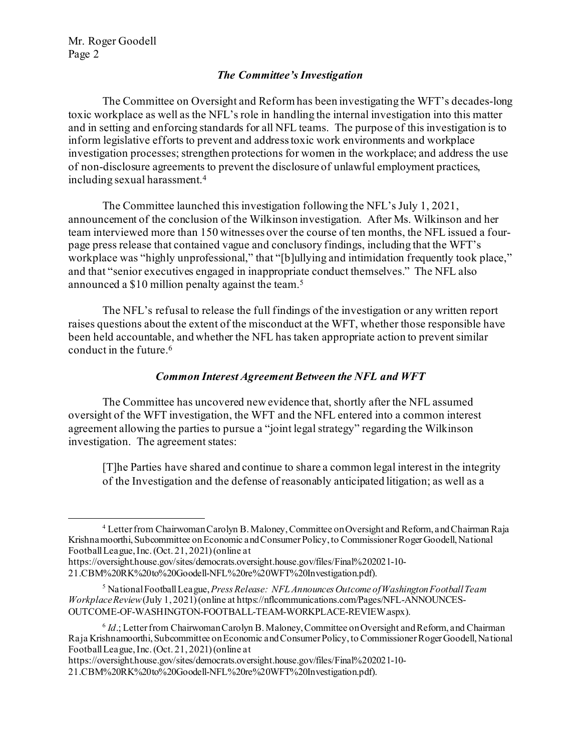## *The Committee's Investigation*

The Committee on Oversight and Reform has been investigating the WFT's decades-long toxic workplace as well as the NFL's role in handling the internal investigation into this matter and in setting and enforcing standards for all NFL teams. The purpose of this investigation is to inform legislative efforts to prevent and address toxic work environments and workplace investigation processes; strengthen protections for women in the workplace; and address the use of non-disclosure agreements to prevent the disclosure of unlawful employment practices, including sexual harassment.[4](#page-1-0)

The Committee launched this investigation following the NFL's July 1, 2021, announcement of the conclusion of the Wilkinson investigation. After Ms. Wilkinson and her team interviewed more than 150 witnesses over the course of ten months, the NFL issued a fourpage press release that contained vague and conclusory findings, including that the WFT's workplace was "highly unprofessional," that "[b]ullying and intimidation frequently took place," and that "senior executives engaged in inappropriate conduct themselves." The NFL also announced a \$10 million penalty against the team.[5](#page-1-1)

The NFL's refusal to release the full findings of the investigation or any written report raises questions about the extent of the misconduct at the WFT, whether those responsible have been held accountable, and whether the NFL has taken appropriate action to prevent similar conduct in the future.[6](#page-1-2)

#### *Common Interest Agreement Between the NFL and WFT*

The Committee has uncovered new evidence that, shortly after the NFL assumed oversight of the WFT investigation, the WFT and the NFL entered into a common interest agreement allowing the parties to pursue a "joint legal strategy" regarding the Wilkinson investigation. The agreement states:

[T]he Parties have shared and continue to share a common legal interest in the integrity of the Investigation and the defense of reasonably anticipated litigation; as well as a

https://oversight.house.gov/sites/democrats.oversight.house.gov/files/Final%202021-10- 21.CBM%20RK%20to%20Goodell-NFL%20re%20WFT%20Investigation.pdf).

<span id="page-1-0"></span><sup>4</sup> Letter from Chairwoman Carolyn B. Maloney, Committee on Oversight and Reform, and Chairman Raja Krishnamoorthi, Subcommittee on Economic and Consumer Policy, to Commissioner Roger Goodell, National Football League, Inc. (Oct. 21, 2021) (online at

https://oversight.house.gov/sites/democrats.oversight.house.gov/files/Final%202021-10- 21.CBM%20RK%20to%20Goodell-NFL%20re%20WFT%20Investigation.pdf).

<span id="page-1-1"></span><sup>5</sup> National Football League, *Press Release: NFL Announces Outcome of Washington Football Team Workplace Review* (July 1, 2021) (online at https://nflcommunications.com/Pages/NFL-ANNOUNCES-OUTCOME-OF-WASHINGTON-FOOTBALL-TEAM-WORKPLACE-REVIEW.aspx).

<span id="page-1-2"></span><sup>6</sup> *Id*.; Letter from Chairwoman Carolyn B. Maloney, Committee on Oversight and Reform, and Chairman Raja Krishnamoorthi, Subcommittee on Economic and Consumer Policy, to Commissioner Roger Goodell, National Football League, Inc. (Oct. 21, 2021) (online at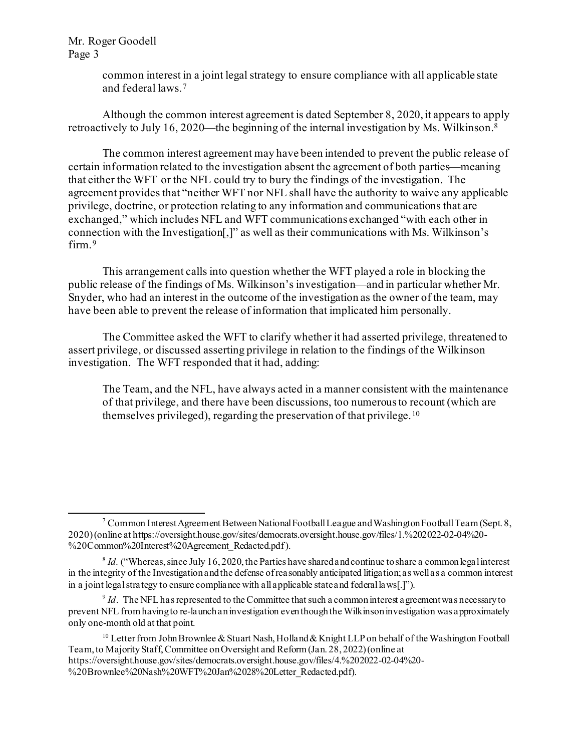> common interest in a joint legal strategy to ensure compliance with all applicable state and federal laws.[7](#page-2-0)

Although the common interest agreement is dated September 8, 2020, it appears to apply retroactively to July 16, 2020—the beginning of the internal investigation by Ms. Wilkinson.[8](#page-2-1) 

The common interest agreement may have been intended to prevent the public release of certain information related to the investigation absent the agreement of both parties—meaning that either the WFT or the NFL could try to bury the findings of the investigation. The agreement provides that "neither WFT nor NFL shall have the authority to waive any applicable privilege, doctrine, or protection relating to any information and communications that are exchanged," which includes NFL and WFT communications exchanged "with each other in connection with the Investigation[,]" as well as their communications with Ms. Wilkinson's firm.<sup>[9](#page-2-2)</sup>

This arrangement calls into question whether the WFT played a role in blocking the public release of the findings of Ms. Wilkinson's investigation—and in particular whether Mr. Snyder, who had an interest in the outcome of the investigation as the owner of the team, may have been able to prevent the release of information that implicated him personally.

The Committee asked the WFT to clarify whether it had asserted privilege, threatened to assert privilege, or discussed asserting privilege in relation to the findings of the Wilkinson investigation. The WFT responded that it had, adding:

The Team, and the NFL, have always acted in a manner consistent with the maintenance of that privilege, and there have been discussions, too numerous to recount (which are themselves privileged), regarding the preservation of that privilege.[10](#page-2-3)

<span id="page-2-0"></span><sup>&</sup>lt;sup>7</sup> Common Interest Agreement Between National Football League and Washington Football Team (Sept. 8, 2020) (online at https://oversight.house.gov/sites/democrats.oversight.house.gov/files/1.%202022-02-04%20- %20Common%20Interest%20Agreement\_Redacted.pdf).

<span id="page-2-1"></span> $8$  *Id.* ("Whereas, since July 16, 2020, the Parties have shared and continue to share a common legal interest in the integrity of the Investigation and the defense of reasonably anticipated litigation; as well as a common interest in a joint legal strategy to ensure compliance with all applicable state and federal laws[.]").

<span id="page-2-2"></span> $9$  *Id*. The NFL has represented to the Committee that such a common interest a greement was necessary to prevent NFL from having to re-launch an investigation even though the Wilkinson investigation was approximately only one-month old at that point.

<span id="page-2-3"></span><sup>&</sup>lt;sup>10</sup> Letter from John Brownlee & Stuart Nash, Holland & Knight LLP on behalf of the Washington Football Team, to Majority Staff,Committee on Oversight and Reform (Jan. 28, 2022) (online at

https://oversight.house.gov/sites/democrats.oversight.house.gov/files/4.%202022-02-04%20- %20Brownlee%20Nash%20WFT%20Jan%2028%20Letter\_Redacted.pdf).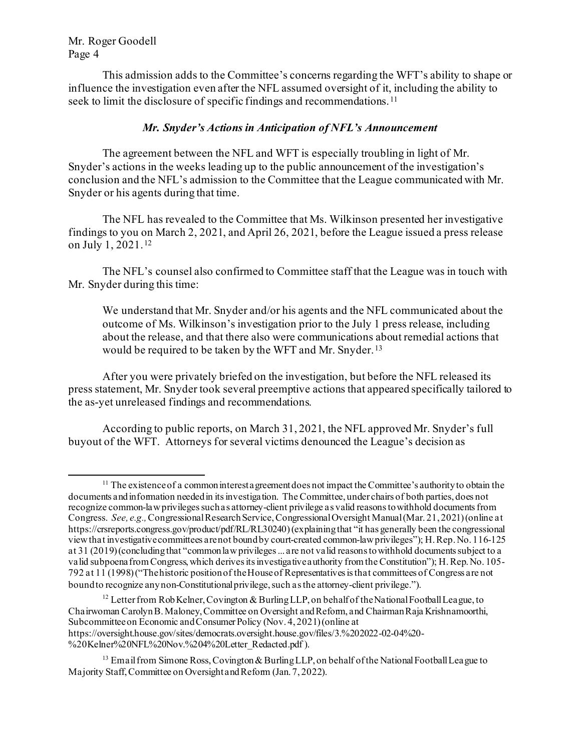This admission adds to the Committee's concerns regarding the WFT's ability to shape or influence the investigation even after the NFL assumed oversight of it, including the ability to seek to limit the disclosure of specific findings and recommendations.<sup>[11](#page-3-0)</sup>

## *Mr. Snyder's Actions in Anticipation of NFL's Announcement*

The agreement between the NFL and WFT is especially troubling in light of Mr. Snyder's actions in the weeks leading up to the public announcement of the investigation's conclusion and the NFL's admission to the Committee that the League communicated with Mr. Snyder or his agents during that time.

The NFL has revealed to the Committee that Ms. Wilkinson presented her investigative findings to you on March 2, 2021, and April 26, 2021, before the League issued a press release on July 1, 2021. [12](#page-3-1)

The NFL's counsel also confirmed to Committee staff that the League was in touch with Mr. Snyder during this time:

We understand that Mr. Snyder and/or his agents and the NFL communicated about the outcome of Ms. Wilkinson's investigation prior to the July 1 press release, including about the release, and that there also were communications about remedial actions that would be required to be taken by the WFT and Mr. Snyder. [13](#page-3-2)

After you were privately briefed on the investigation, but before the NFL released its press statement, Mr. Snyder took several preemptive actions that appeared specifically tailored to the as-yet unreleased findings and recommendations.

According to public reports, on March 31, 2021, the NFL approved Mr. Snyder's full buyout of the WFT. Attorneys for several victims denounced the League's decision as

<span id="page-3-0"></span> $11$  The existence of a common interest a greement does not impact the Committee's authority to obtain the documents and information needed in its investigation. The Committee, under chairs of both parties, does not recognize common-law privileges such as attorney-client privilege as valid reasons to withhold documents from Congress. *See, e.g.,*Congressional Research Service, Congressional Oversight Manual (Mar. 21, 2021) (online at https://crsreports.congress.gov/product/pdf/RL/RL30240) (explaining that "it has generally been the congressional view that investigative committees are not bound by court-created common-law privileges"); H. Rep. No. 116-125 at 31 (2019) (concluding that "common law privileges ... are not valid reasons to withhold documents subject to a valid subpoena from Congress, which derives its investigative authority from the Constitution"); H. Rep. No. 105- 792 at 11 (1998) ("The historic position of the House of Representatives is that committees of Congress are not bound to recognize any non-Constitutional privilege, such as the attorney-client privilege.").

<span id="page-3-1"></span><sup>&</sup>lt;sup>12</sup> Letter from Rob Kelner, Covington & Burling LLP, on behalf of the National Football League, to Chairwoman Carolyn B. Maloney, Committee on Oversight and Reform, and Chairman Raja Krishnamoorthi, Subcommittee on Economic and Consumer Policy (Nov. 4, 2021) (online at https://oversight.house.gov/sites/democrats.oversight.house.gov/files/3.%202022-02-04%20- %20Kelner%20NFL%20Nov.%204%20Letter\_Redacted.pdf ).

<span id="page-3-2"></span><sup>&</sup>lt;sup>13</sup> Email from Simone Ross, Covington & Burling LLP, on behalf of the National Football League to Majority Staff, Committee on Oversight and Reform (Jan. 7, 2022).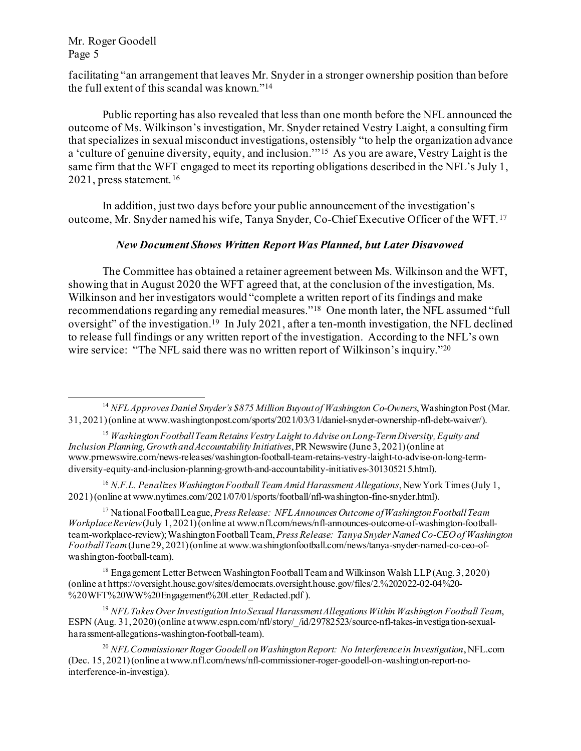facilitating "an arrangement that leaves Mr. Snyder in a stronger ownership position than before the full extent of this scandal was known."[14](#page-4-0)

Public reporting has also revealed that less than one month before the NFL announced the outcome of Ms. Wilkinson's investigation, Mr. Snyder retained Vestry Laight, a consulting firm that specializes in sexual misconduct investigations, ostensibly "to help the organization advance a 'culture of genuine diversity, equity, and inclusion.'" [15](#page-4-1) As you are aware, Vestry Laight is the same firm that the WFT engaged to meet its reporting obligations described in the NFL's July 1, 2021, press statement. [16](#page-4-2)

In addition, just two days before your public announcement of the investigation's outcome, Mr. Snyder named his wife, Tanya Snyder, Co-Chief Executive Officer of the WFT. [17](#page-4-3)

## *New Document Shows Written Report Was Planned, but Later Disavowed*

The Committee has obtained a retainer agreement between Ms. Wilkinson and the WFT, showing that in August 2020 the WFT agreed that, at the conclusion of the investigation, Ms. Wilkinson and her investigators would "complete a written report of its findings and make recommendations regarding any remedial measures.["18](#page-4-4) One month later, the NFL assumed "full oversight" of the investigation.[19](#page-4-5) In July 2021, after a ten-month investigation, the NFL declined to release full findings or any written report of the investigation. According to the NFL's own wire service: "The NFL said there was no written report of Wilkinson's inquiry."<sup>[20](#page-4-6)</sup>

<span id="page-4-3"></span><sup>17</sup> National Football League, *Press Release: NFL Announces Outcome of Washington Football Team Workplace Review*(July 1, 2021) (online at www.nfl.com/news/nfl-announces-outcome-of-washington-footballteam-workplace-review); Washington Football Team, *Press Release: Tanya Snyder Named Co-CEO of Washington Football Team*(June 29, 2021)(online at www.washingtonfootball.com/news/tanya-snyder-named-co-ceo-ofwashington-football-team).

<span id="page-4-4"></span><sup>18</sup> Engagement Letter Between Washington Football Team and Wilkinson Walsh LLP (Aug. 3, 2020) (online at https://oversight.house.gov/sites/democrats.oversight.house.gov/files/2.%202022-02-04%20- %20WFT%20WW%20Engagement%20Letter\_Redacted.pdf ).

<span id="page-4-5"></span><sup>19</sup> *NFL Takes Over Investigation Into Sexual Harassment Allegations Within Washington Football Team*, ESPN (Aug. 31, 2020) (online at www.espn.com/nfl/story/ /id/29782523/source-nfl-takes-investigation-sexualharassment-allegations-washington-football-team).

<span id="page-4-6"></span><sup>20</sup> *NFL Commissioner Roger Goodell on Washington Report: No Interference in Investigation*, NFL.com (Dec. 15, 2021) (online at www.nfl.com/news/nfl-commissioner-roger-goodell-on-washington-report-nointerference-in-investiga).

<span id="page-4-0"></span><sup>14</sup> *NFL Approves Daniel Snyder's \$875 Million Buyout of Washington Co-Owners*, Washington Post (Mar. 31, 2021) (online at www.washingtonpost.com/sports/2021/03/31/daniel-snyder-ownership-nfl-debt-waiver/).

<span id="page-4-1"></span><sup>15</sup> *Washington Football Team Retains Vestry Laight to Advise on Long-Term Diversity, Equity and Inclusion Planning, Growth and Accountability Initiatives*, PR Newswire (June 3, 2021) (online at www.prnewswire.com/news-releases/washington-football-team-retains-vestry-laight-to-advise-on-long-termdiversity-equity-and-inclusion-planning-growth-and-accountability-initiatives-301305215.html).

<span id="page-4-2"></span><sup>&</sup>lt;sup>16</sup> N.F.L. Penalizes Washington Football Team Amid Harassment Allegations, New York Times (July 1, 2021) (online at www.nytimes.com/2021/07/01/sports/football/nfl-washington-fine-snyder.html).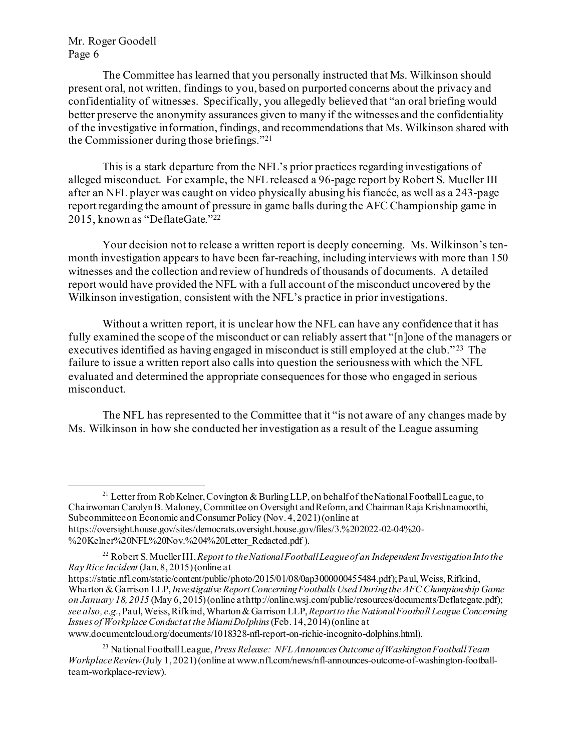The Committee has learned that you personally instructed that Ms. Wilkinson should present oral, not written, findings to you, based on purported concerns about the privacy and confidentiality of witnesses. Specifically, you allegedly believed that "an oral briefing would better preserve the anonymity assurances given to many if the witnesses and the confidentiality of the investigative information, findings, and recommendations that Ms. Wilkinson shared with the Commissioner during those briefings."[21](#page-5-0)

This is a stark departure from the NFL's prior practices regarding investigations of alleged misconduct. For example, the NFL released a 96-page report by Robert S. Mueller III after an NFL player was caught on video physically abusing his fiancée, as well as a 243-page report regarding the amount of pressure in game balls during the AFC Championship game in 2015, known as "DeflateGate."[22](#page-5-1) 

Your decision not to release a written report is deeply concerning. Ms. Wilkinson's tenmonth investigation appears to have been far-reaching, including interviews with more than 150 witnesses and the collection and review of hundreds of thousands of documents. A detailed report would have provided the NFL with a full account of the misconduct uncovered by the Wilkinson investigation, consistent with the NFL's practice in prior investigations.

Without a written report, it is unclear how the NFL can have any confidence that it has fully examined the scope of the misconduct or can reliably assert that "[n]one of the managers or executives identified as having engaged in misconduct is still employed at the club."<sup>23</sup> The failure to issue a written report also calls into question the seriousness with which the NFL evaluated and determined the appropriate consequences for those who engaged in serious misconduct.

The NFL has represented to the Committee that it "is not aware of any changes made by Ms. Wilkinson in how she conducted her investigation as a result of the League assuming

<span id="page-5-0"></span><sup>21</sup> Letter from Rob Kelner, Covington & Burling LLP, on behalf of the National Football League, to Chairwoman Carolyn B. Maloney, Committee on Oversight and Reform, and Chairman Raja Krishnamoorthi, Subcommittee on Economic and Consumer Policy (Nov. 4, 2021) (online at https://oversight.house.gov/sites/democrats.oversight.house.gov/files/3.%202022-02-04%20- %20Kelner%20NFL%20Nov.%204%20Letter\_Redacted.pdf ).

<span id="page-5-1"></span><sup>22</sup> Robert S. Mueller III, *Report to the National Football League of an Independent Investigation Into the Ray Rice Incident* (Jan. 8, 2015) (online at

https://static.nfl.com/static/content/public/photo/2015/01/08/0ap3000000455484.pdf); Paul, Weiss, Rifkind, Wharton & Garrison LLP, *Investigative Report Concerning Footballs Used During the AFC Championship Game on January 18, 2015* (May 6, 2015) (online at http://online.wsj.com/public/resources/documents/Deflategate.pdf); *see also, e.g.*, Paul, Weiss, Rifkind, Wharton & Garrison LLP, *Report to the National Football League Concerning Issues of Workplace Conduct at the Miami Dolphins*(Feb. 14, 2014) (online at www.documentcloud.org/documents/1018328-nfl-report-on-richie-incognito-dolphins.html).

<span id="page-5-2"></span><sup>23</sup> National Football League, *Press Release: NFL Announces Outcome of Washington Football Team Workplace Review*(July 1, 2021) (online at www.nfl.com/news/nfl-announces-outcome-of-washington-footballteam-workplace-review).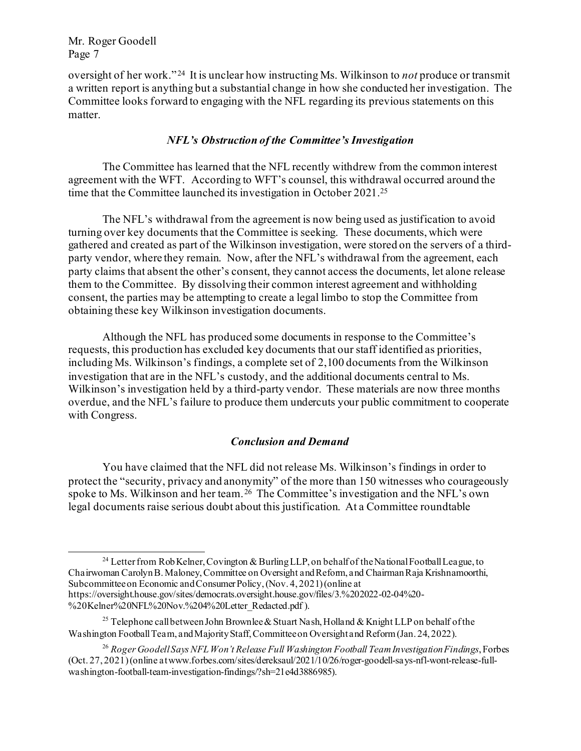oversight of her work." [24](#page-6-0) It is unclear how instructing Ms. Wilkinson to *not* produce or transmit a written report is anything but a substantial change in how she conducted her investigation. The Committee looks forward to engaging with the NFL regarding its previous statements on this matter.

#### *NFL's Obstruction of the Committee's Investigation*

The Committee has learned that the NFL recently withdrew from the common interest agreement with the WFT. According to WFT's counsel, this withdrawal occurred around the time that the Committee launched its investigation in October 2021.[25](#page-6-1) 

The NFL's withdrawal from the agreement is now being used as justification to avoid turning over key documents that the Committee is seeking. These documents, which were gathered and created as part of the Wilkinson investigation, were stored on the servers of a thirdparty vendor, where they remain. Now, after the NFL's withdrawal from the agreement, each party claims that absent the other's consent, they cannot access the documents, let alone release them to the Committee. By dissolving their common interest agreement and withholding consent, the parties may be attempting to create a legal limbo to stop the Committee from obtaining these key Wilkinson investigation documents.

Although the NFL has produced some documents in response to the Committee's requests, this production has excluded key documents that our staff identified as priorities, including Ms. Wilkinson's findings, a complete set of 2,100 documents from the Wilkinson investigation that are in the NFL's custody, and the additional documents central to Ms. Wilkinson's investigation held by a third-party vendor. These materials are now three months overdue, and the NFL's failure to produce them undercuts your public commitment to cooperate with Congress.

#### *Conclusion and Demand*

You have claimed that the NFL did not release Ms. Wilkinson's findings in order to protect the "security, privacy and anonymity" of the more than 150 witnesses who courageously spoke to Ms. Wilkinson and her team. [26](#page-6-2) The Committee's investigation and the NFL's own legal documents raise serious doubt about this justification. At a Committee roundtable

<span id="page-6-0"></span><sup>&</sup>lt;sup>24</sup> Letter from Rob Kelner, Covington & Burling LLP, on behalf of the National Football League, to Chairwoman Carolyn B. Maloney, Committee on Oversight and Reform, and Chairman Raja Krishnamoorthi, Subcommittee on Economic and Consumer Policy, (Nov. 4, 2021) (online at https://oversight.house.gov/sites/democrats.oversight.house.gov/files/3.%202022-02-04%20- %20Kelner%20NFL%20Nov.%204%20Letter\_Redacted.pdf ).

<span id="page-6-1"></span><sup>&</sup>lt;sup>25</sup> Telephone call between John Brownlee & Stuart Nash, Holland & Knight LLP on behalf of the Washington Football Team, and Majority Staff, Committee on Oversight and Reform (Jan. 24, 2022).

<span id="page-6-2"></span><sup>26</sup> *Roger Goodell Says NFL Won't Release Full Washington Football Team Investigation Findings*, Forbes (Oct. 27, 2021) (online at www.forbes.com/sites/dereksaul/2021/10/26/roger-goodell-says-nfl-wont-release-fullwashington-football-team-investigation-findings/?sh=21e4d3886985).